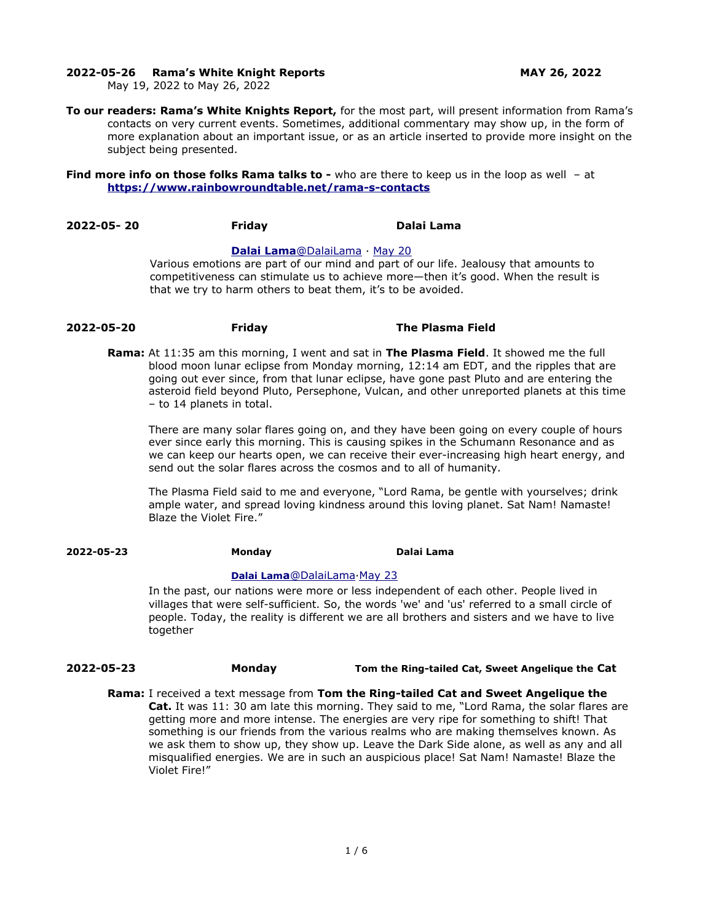#### **2022-05-26 Rama's White Knight Reports MAY 26, 2022**

May 19, 2022 to May 26, 2022

**To our readers: Rama's White Knights Report,** for the most part, will present information from Rama's contacts on very current events. Sometimes, additional commentary may show up, in the form of more explanation about an important issue, or as an article inserted to provide more insight on the subject being presented.

#### **Find more info on those folks Rama talks to -** who are there to keep us in the loop as well - at **<https://www.rainbowroundtable.net/rama-s-contacts>**

**2022-05- 20 Friday Dalai Lama** 

#### **[Dalai](https://twitter.com/DalaiLama) [Lama](mailto:Lama@DalaiLama)** [@DalaiLama](mailto:Lama@DalaiLama) · [May 20](https://twitter.com/DalaiLama/status/1527582440495403008)

Various emotions are part of our mind and part of our life. Jealousy that amounts to competitiveness can stimulate us to achieve more—then it's good. When the result is that we try to harm others to beat them, it's to be avoided.

# **2022-05-20 Friday The Plasma Field**

**Rama:** At 11:35 am this morning, I went and sat in **The Plasma Field**. It showed me the full blood moon lunar eclipse from Monday morning, 12:14 am EDT, and the ripples that are going out ever since, from that lunar eclipse, have gone past Pluto and are entering the asteroid field beyond Pluto, Persephone, Vulcan, and other unreported planets at this time – to 14 planets in total.

There are many solar flares going on, and they have been going on every couple of hours ever since early this morning. This is causing spikes in the Schumann Resonance and as we can keep our hearts open, we can receive their ever-increasing high heart energy, and send out the solar flares across the cosmos and to all of humanity.

The Plasma Field said to me and everyone, "Lord Rama, be gentle with yourselves; drink ample water, and spread loving kindness around this loving planet. Sat Nam! Namaste! Blaze the Violet Fire."

**2022-05-23 Monday Dalai Lama** 

## **[Dalai Lam](https://twitter.com/DalaiLama)[a](https://twitter.com/DalaiLama)**[@DalaiLama](https://twitter.com/DalaiLama)[·May 23](https://twitter.com/DalaiLama/status/1528669591807078400)

In the past, our nations were more or less independent of each other. People lived in villages that were self-sufficient. So, the words 'we' and 'us' referred to a small circle of people. Today, the reality is different we are all brothers and sisters and we have to live together

#### **2022-05-23 Monday Tom the Ring-tailed Cat, Sweet Angelique the Cat**

**Rama:** I received a text message from **Tom the Ring-tailed Cat and Sweet Angelique the Cat.** It was 11: 30 am late this morning. They said to me, "Lord Rama, the solar flares are getting more and more intense. The energies are very ripe for something to shift! That something is our friends from the various realms who are making themselves known. As we ask them to show up, they show up. Leave the Dark Side alone, as well as any and all misqualified energies. We are in such an auspicious place! Sat Nam! Namaste! Blaze the Violet Fire!"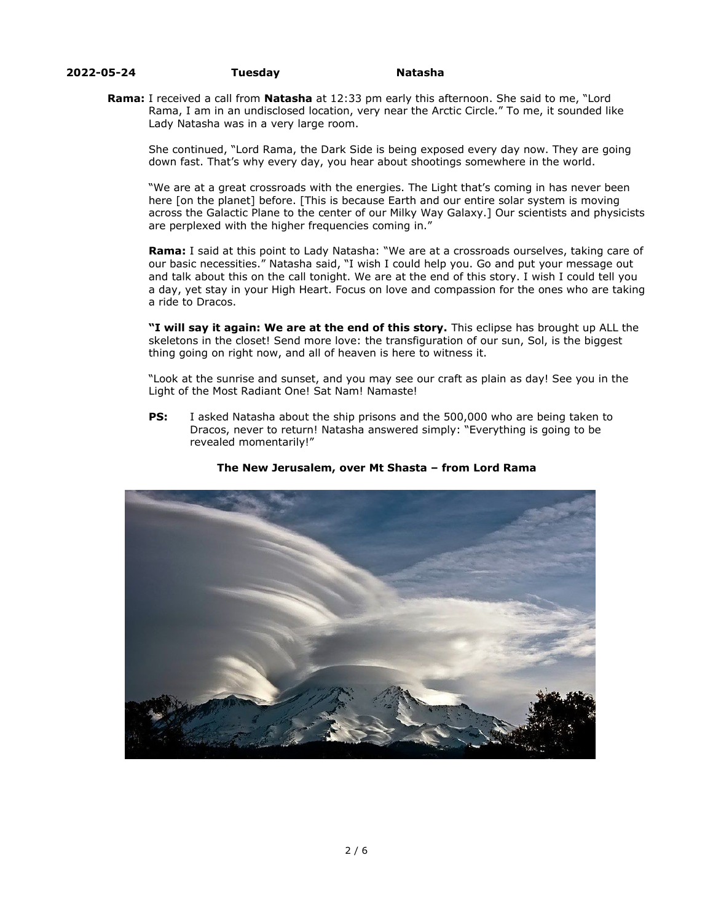### **2022-05-24 Tuesday Natasha**

**Rama:** I received a call from **Natasha** at 12:33 pm early this afternoon. She said to me, "Lord Rama, I am in an undisclosed location, very near the Arctic Circle." To me, it sounded like Lady Natasha was in a very large room.

She continued, "Lord Rama, the Dark Side is being exposed every day now. They are going down fast. That's why every day, you hear about shootings somewhere in the world.

"We are at a great crossroads with the energies. The Light that's coming in has never been here [on the planet] before. [This is because Earth and our entire solar system is moving across the Galactic Plane to the center of our Milky Way Galaxy.] Our scientists and physicists are perplexed with the higher frequencies coming in."

**Rama:** I said at this point to Lady Natasha: "We are at a crossroads ourselves, taking care of our basic necessities." Natasha said, "I wish I could help you. Go and put your message out and talk about this on the call tonight. We are at the end of this story. I wish I could tell you a day, yet stay in your High Heart. Focus on love and compassion for the ones who are taking a ride to Dracos.

**"I will say it again: We are at the end of this story.** This eclipse has brought up ALL the skeletons in the closet! Send more love: the transfiguration of our sun, Sol, is the biggest thing going on right now, and all of heaven is here to witness it.

"Look at the sunrise and sunset, and you may see our craft as plain as day! See you in the Light of the Most Radiant One! Sat Nam! Namaste!

**PS:** I asked Natasha about the ship prisons and the 500,000 who are being taken to Dracos, never to return! Natasha answered simply: "Everything is going to be revealed momentarily!"



#### **The New Jerusalem, over Mt Shasta – from Lord Rama**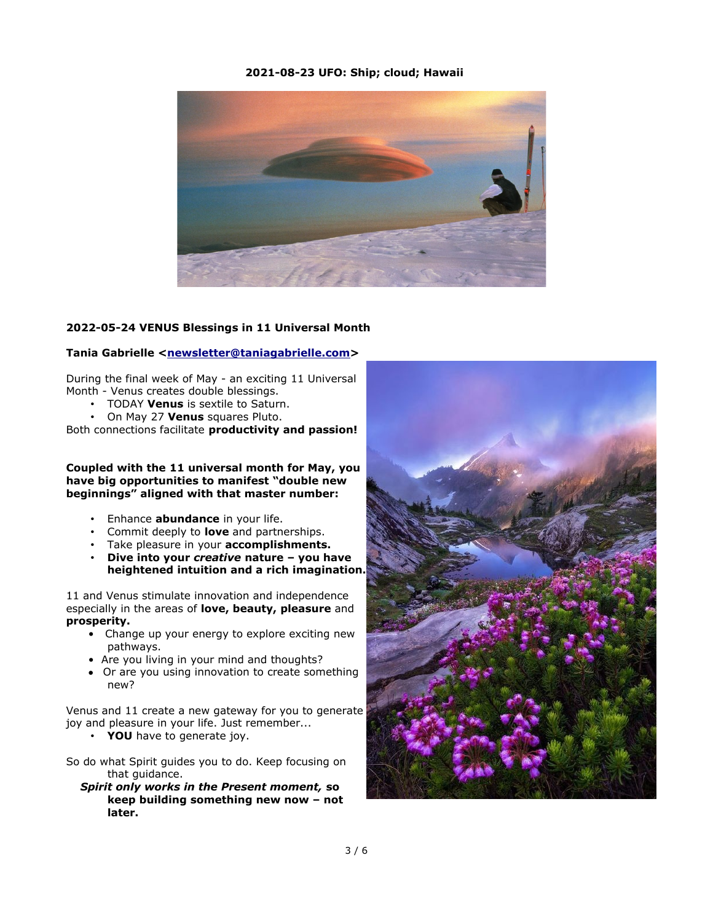## **2021-08-23 UFO: Ship; cloud; Hawaii**



# **2022-05-24 VENUS Blessings in 11 Universal Month**

### **Tania Gabrielle <[newsletter@taniagabrielle.com>](mailto:newsletter@taniagabrielle.com)**

During the final week of May - an exciting 11 Universal Month - Venus creates double blessings.

- TODAY **Venus** is sextile to Saturn.
- On May 27 **Venus** squares Pluto.

Both connections facilitate **productivity and passion!**

**Coupled with the 11 universal month for May, you have big opportunities to manifest "double new beginnings" aligned with that master number:**

- Enhance **abundance** in your life.
- Commit deeply to **love** and partnerships.
- Take pleasure in your **accomplishments.**
- **Dive into your** *creative* **nature you have heightened intuition and a rich imagination.**

11 and Venus stimulate innovation and independence especially in the areas of **love, beauty, pleasure** and **prosperity.**

- Change up your energy to explore exciting new pathways.
- Are you living in your mind and thoughts?
- **•** Or are you using innovation to create something new?

Venus and 11 create a new gateway for you to generate joy and pleasure in your life. Just remember...

- **YOU** have to generate joy.
- So do what Spirit guides you to do. Keep focusing on that guidance.
	- *Spirit only works in the Present moment,* **so keep building something new now – not later.**

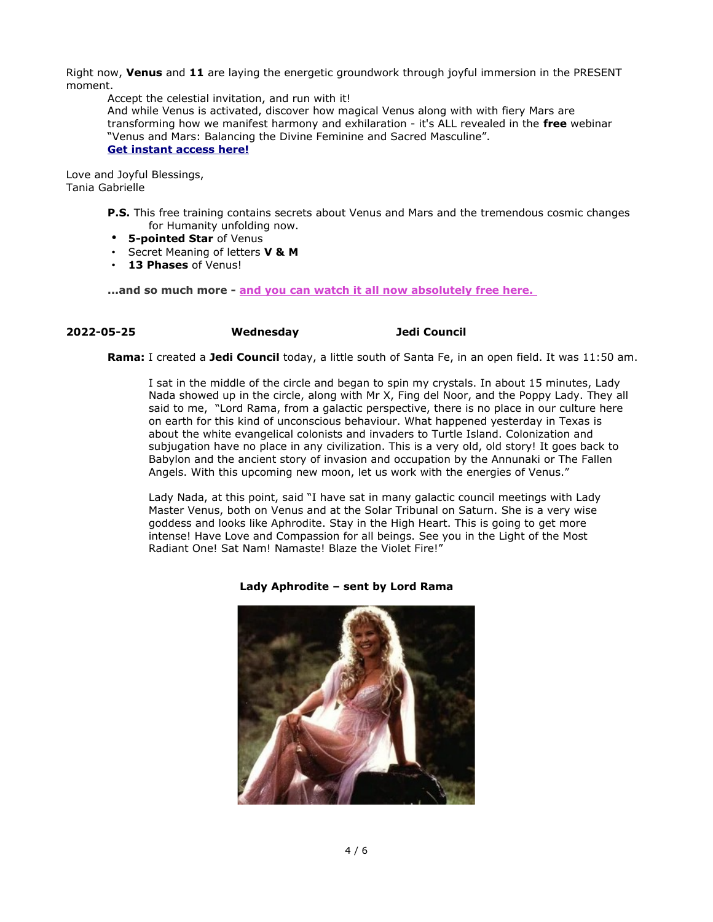Right now, **Venus** and **11** are laying the energetic groundwork through joyful immersion in the PRESENT moment.

Accept the celestial invitation, and run with it! And while Venus is activated, discover how magical Venus along with with fiery Mars are transforming how we manifest harmony and exhilaration - it's ALL revealed in the **free** webinar "Venus and Mars: Balancing the Divine Feminine and Sacred Masculine". **[Get instant access here!](https://taniagabrielle.keap-link009.com/v2/click/711c9b5d6bc830f3c90371b041c4a9c2/eJyVkE8LgkAQR7_LnLVVShJvERKidYg6x6RDLa3rsjsGEX73tj8EHQq6v3mP31yBSaPmooEMGLXEA-6tJKUIArBUSyNJ87zTjPWDipN4PJ0EoKQ-LWzXG8iuPyVv8HEdTaM0DoAvhjy8Wc_mZbFa7KpiVXrWoPW1P43pOI2StzJfzooKhuFrg1rJ-dlnHGRse7rPbKSfylurPH9kNi4T4jM7qrtWKCNatC5E3YTe0LuwRcdka4XOCe9GY0g3r2-VdHkWhhuuzHkH)**

Love and Joyful Blessings, Tania Gabrielle

> **P.S.** This free training contains secrets about Venus and Mars and the tremendous cosmic changes for Humanity unfolding now.

- **5-pointed Star** of Venus
- Secret Meaning of letters **V & M**
- **13 Phases** of Venus!

**...and so much more - [and you can watch it all now absolutely free here.](https://taniagabrielle.keap-link005.com/v2/click/a5d9785836915e4e943a118ab1ee26b7/eJyVkE8LgkAQR7_LnLU1SixvIRFieYg6x6RDLa3rsjsGEX73tj8EHQq6v3mP31yBSaPmvIYUGLXEA-6tJKUIArBUSSNJc9ZqxupBDePhKBkHoKQ-LWzbGUivPyVv8HEdJVEyDYAvhjy8Wc-yIi8Xu2VeFp41aH3tT-NkNInit3K-muVL6PuvDWokz88-4yBl29F9Zi39VN5a5fkjs3GpEJ_ZQdU2QhnRoHUh6jr0hs6FDTomWyl0Tng3GkO6fn2roMuz0N8AtWJ5Dg==)** 

# **2022-05-25 Wednesday Jedi Council**

**Rama:** I created a **Jedi Council** today, a little south of Santa Fe, in an open field. It was 11:50 am.

I sat in the middle of the circle and began to spin my crystals. In about 15 minutes, Lady Nada showed up in the circle, along with Mr X, Fing del Noor, and the Poppy Lady. They all said to me, "Lord Rama, from a galactic perspective, there is no place in our culture here on earth for this kind of unconscious behaviour. What happened yesterday in Texas is about the white evangelical colonists and invaders to Turtle Island. Colonization and subjugation have no place in any civilization. This is a very old, old story! It goes back to Babylon and the ancient story of invasion and occupation by the Annunaki or The Fallen Angels. With this upcoming new moon, let us work with the energies of Venus."

Lady Nada, at this point, said "I have sat in many galactic council meetings with Lady Master Venus, both on Venus and at the Solar Tribunal on Saturn. She is a very wise goddess and looks like Aphrodite. Stay in the High Heart. This is going to get more intense! Have Love and Compassion for all beings. See you in the Light of the Most Radiant One! Sat Nam! Namaste! Blaze the Violet Fire!"



**Lady Aphrodite – sent by Lord Rama**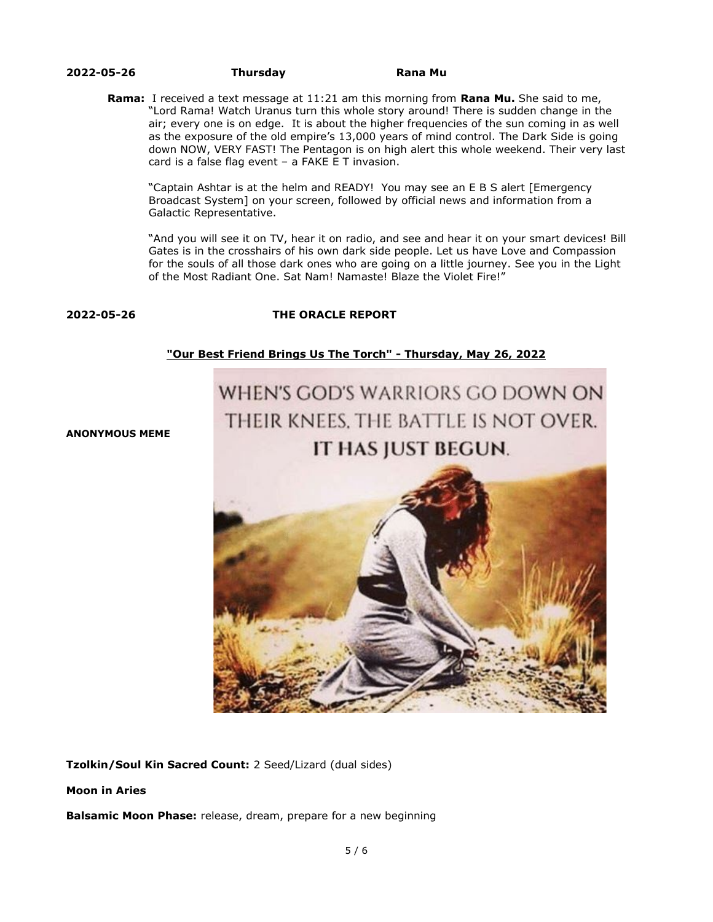#### **2022-05-26 Thursday Rana Mu**

**Rama:** I received a text message at 11:21 am this morning from **Rana Mu.** She said to me, "Lord Rama! Watch Uranus turn this whole story around! There is sudden change in the air; every one is on edge. It is about the higher frequencies of the sun coming in as well as the exposure of the old empire's 13,000 years of mind control. The Dark Side is going down NOW, VERY FAST! The Pentagon is on high alert this whole weekend. Their very last card is a false flag event – a FAKE E T invasion.

"Captain Ashtar is at the helm and READY! You may see an E B S alert [Emergency Broadcast System] on your screen, followed by official news and information from a Galactic Representative.

"And you will see it on TV, hear it on radio, and see and hear it on your smart devices! Bill Gates is in the crosshairs of his own dark side people. Let us have Love and Compassion for the souls of all those dark ones who are going on a little journey. See you in the Light of the Most Radiant One. Sat Nam! Namaste! Blaze the Violet Fire!"

# **2022-05-26 THE ORACLE REPORT**

# **["Our Best Friend Brings Us The Torch" - Thursday, May 26, 2022](http://www.oraclereport.com/blog/2022/5/26/our-best-friend-brings-us-the-torch-thursday-may-26-2022)**

# WHEN'S GOD'S WARRIORS GO DOWN ON THEIR KNEES. THE BATTLE IS NOT OVER. IT HAS JUST BEGUN.

**ANONYMOUS MEME**



**Tzolkin/Soul Kin Sacred Count:** 2 Seed/Lizard (dual sides)

**Moon in Aries**

**Balsamic Moon Phase:** release, dream, prepare for a new beginning